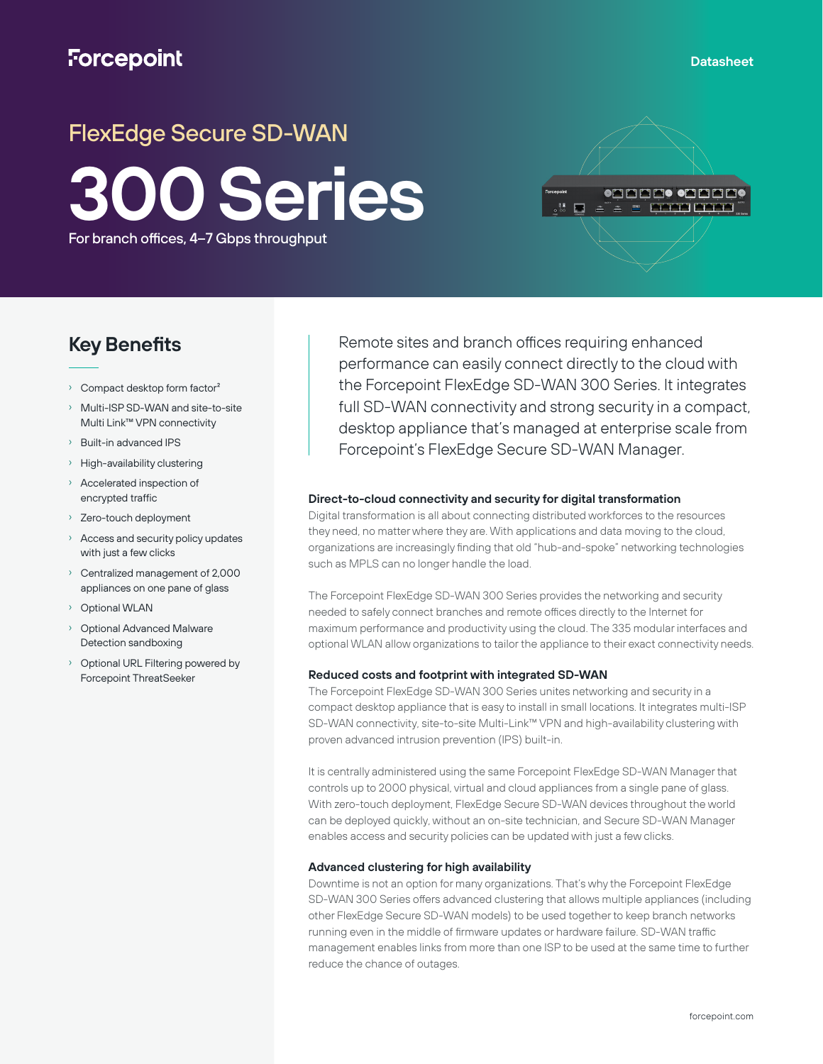# **Forcepoint**

# FlexEdge Secure SD-WAN **300 Series** For branch offices, 4–7 Gbps throughput

## **Key Benefits**

- › Compact desktop form factor²
- Multi-ISP SD-WAN and site-to-site Multi Link™ VPN connectivity
- › Built-in advanced IPS
- › High-availability clustering
- › Accelerated inspection of encrypted traffic
- › Zero-touch deployment
- Access and security policy updates with just a few clicks
- › Centralized management of 2,000 appliances on one pane of glass
- Optional WLAN
- Optional Advanced Malware Detection sandboxing
- Optional URL Filtering powered by Forcepoint ThreatSeeker

Remote sites and branch offices requiring enhanced performance can easily connect directly to the cloud with the Forcepoint FlexEdge SD-WAN 300 Series. It integrates full SD-WAN connectivity and strong security in a compact, desktop appliance that's managed at enterprise scale from Forcepoint's FlexEdge Secure SD-WAN Manager.

### **Direct-to-cloud connectivity and security for digital transformation**

Digital transformation is all about connecting distributed workforces to the resources they need, no matter where they are. With applications and data moving to the cloud, organizations are increasingly finding that old "hub-and-spoke" networking technologies such as MPLS can no longer handle the load.

The Forcepoint FlexEdge SD-WAN 300 Series provides the networking and security needed to safely connect branches and remote offices directly to the Internet for maximum performance and productivity using the cloud. The 335 modular interfaces and optional WLAN allow organizations to tailor the appliance to their exact connectivity needs.

#### **Reduced costs and footprint with integrated SD-WAN**

The Forcepoint FlexEdge SD-WAN 300 Series unites networking and security in a compact desktop appliance that is easy to install in small locations. It integrates multi-ISP SD-WAN connectivity, site-to-site Multi-Link™ VPN and high-availability clustering with proven advanced intrusion prevention (IPS) built-in.

It is centrally administered using the same Forcepoint FlexEdge SD-WAN Manager that controls up to 2000 physical, virtual and cloud appliances from a single pane of glass. With zero-touch deployment, FlexEdge Secure SD-WAN devices throughout the world can be deployed quickly, without an on-site technician, and Secure SD-WAN Manager enables access and security policies can be updated with just a few clicks.

#### **Advanced clustering for high availability**

Downtime is not an option for many organizations. That's why the Forcepoint FlexEdge SD-WAN 300 Series offers advanced clustering that allows multiple appliances (including other FlexEdge Secure SD-WAN models) to be used together to keep branch networks running even in the middle of firmware updates or hardware failure. SD-WAN traffic management enables links from more than one ISP to be used at the same time to further reduce the chance of outages.